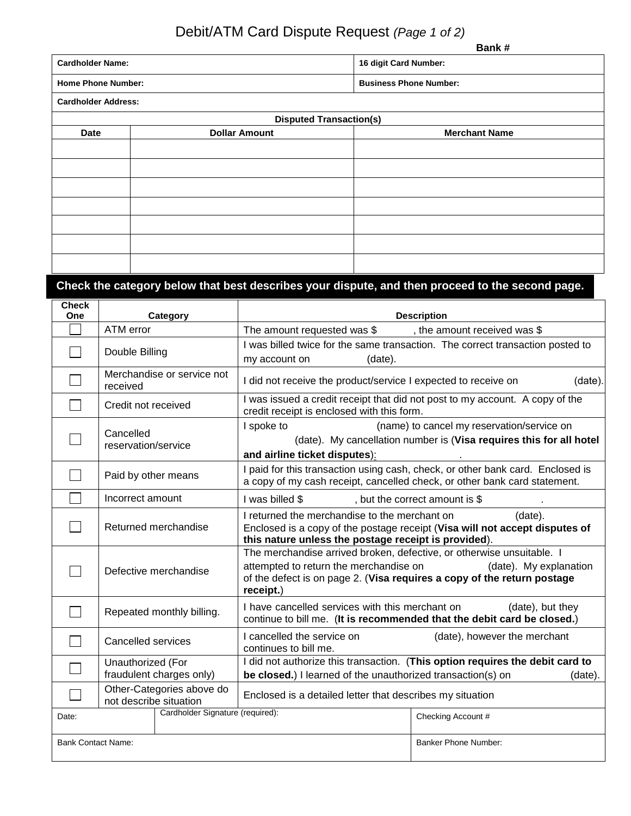# Debit/ATM Card Dispute Request *(Page 1 of 2)*

|                           | Bank#                         |
|---------------------------|-------------------------------|
| <b>Cardholder Name:</b>   | 16 digit Card Number:         |
| <b>Home Phone Number:</b> | <b>Business Phone Number:</b> |

**Cardholder Address:**

|      | <b>Disputed Transaction(s)</b> |                      |  |  |
|------|--------------------------------|----------------------|--|--|
| Date | <b>Dollar Amount</b>           | <b>Merchant Name</b> |  |  |
|      |                                |                      |  |  |
|      |                                |                      |  |  |
|      |                                |                      |  |  |
|      |                                |                      |  |  |
|      |                                |                      |  |  |
|      |                                |                      |  |  |
|      |                                |                      |  |  |
|      |                                |                      |  |  |
|      |                                |                      |  |  |

## **Check the category below that best describes your dispute, and then proceed to the second page.**

| <b>Check</b><br>One       |                                                                                                                                                                                                                         | Category                                                                                                         |                                                                                                                                                                                                         | <b>Description</b>                                                                          |
|---------------------------|-------------------------------------------------------------------------------------------------------------------------------------------------------------------------------------------------------------------------|------------------------------------------------------------------------------------------------------------------|---------------------------------------------------------------------------------------------------------------------------------------------------------------------------------------------------------|---------------------------------------------------------------------------------------------|
|                           | ATM error                                                                                                                                                                                                               |                                                                                                                  | The amount requested was $\frac{1}{2}$ , the amount received was $\frac{1}{2}$                                                                                                                          |                                                                                             |
|                           | Double Billing                                                                                                                                                                                                          |                                                                                                                  | I was billed twice for the same transaction. The correct transaction posted to<br>(date).<br>my account on                                                                                              |                                                                                             |
|                           | received                                                                                                                                                                                                                | Merchandise or service not                                                                                       | I did not receive the product/service I expected to receive on<br>(date).                                                                                                                               |                                                                                             |
|                           | Credit not received                                                                                                                                                                                                     |                                                                                                                  | I was issued a credit receipt that did not post to my account. A copy of the<br>credit receipt is enclosed with this form.                                                                              |                                                                                             |
|                           | Cancelled<br>reservation/service                                                                                                                                                                                        |                                                                                                                  | (name) to cancel my reservation/service on<br>I spoke to<br>(date). My cancellation number is (Visa requires this for all hotel<br>and airline ticket disputes):                                        |                                                                                             |
|                           | Paid by other means                                                                                                                                                                                                     |                                                                                                                  | I paid for this transaction using cash, check, or other bank card. Enclosed is<br>a copy of my cash receipt, cancelled check, or other bank card statement.                                             |                                                                                             |
|                           | Incorrect amount                                                                                                                                                                                                        |                                                                                                                  | I was billed \$<br>, but the correct amount is \$                                                                                                                                                       |                                                                                             |
|                           | I returned the merchandise to the merchant on<br>(date).<br>Returned merchandise<br>Enclosed is a copy of the postage receipt (Visa will not accept disputes of<br>this nature unless the postage receipt is provided). |                                                                                                                  |                                                                                                                                                                                                         |                                                                                             |
|                           |                                                                                                                                                                                                                         | Defective merchandise                                                                                            | The merchandise arrived broken, defective, or otherwise unsuitable. I<br>attempted to return the merchandise on<br>of the defect is on page 2. (Visa requires a copy of the return postage<br>receipt.) | (date). My explanation                                                                      |
|                           | Repeated monthly billing.                                                                                                                                                                                               |                                                                                                                  | I have cancelled services with this merchant on                                                                                                                                                         | (date), but they<br>continue to bill me. (It is recommended that the debit card be closed.) |
|                           | I cancelled the service on<br>Cancelled services<br>continues to bill me.                                                                                                                                               |                                                                                                                  | (date), however the merchant                                                                                                                                                                            |                                                                                             |
|                           | Unauthorized (For<br>fraudulent charges only)                                                                                                                                                                           |                                                                                                                  | be closed.) I learned of the unauthorized transaction(s) on                                                                                                                                             | I did not authorize this transaction. (This option requires the debit card to<br>(date).    |
|                           |                                                                                                                                                                                                                         | Other-Categories above do<br>Enclosed is a detailed letter that describes my situation<br>not describe situation |                                                                                                                                                                                                         |                                                                                             |
| Date:                     |                                                                                                                                                                                                                         | Cardholder Signature (required):                                                                                 |                                                                                                                                                                                                         | Checking Account #                                                                          |
| <b>Bank Contact Name:</b> |                                                                                                                                                                                                                         |                                                                                                                  |                                                                                                                                                                                                         | Banker Phone Number:                                                                        |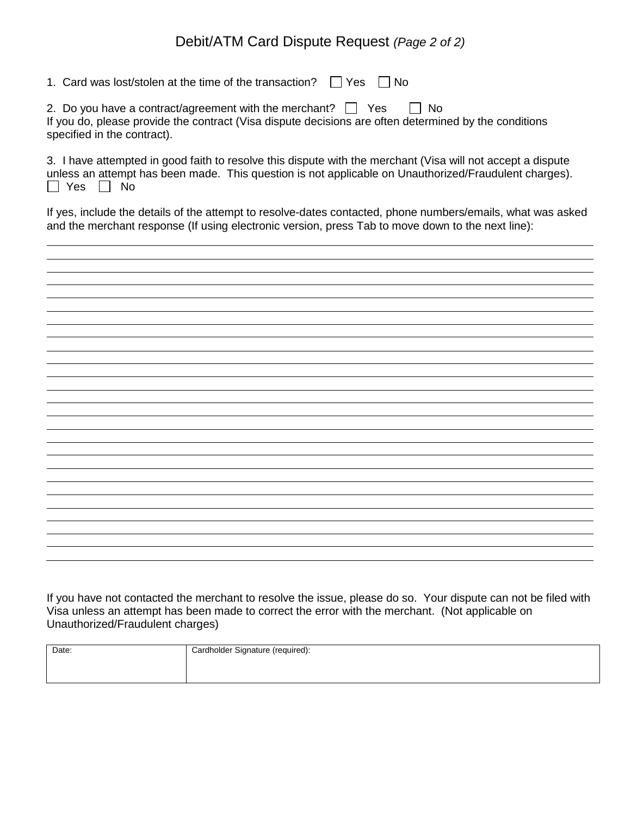### Debit/ATM Card Dispute Request *(Page 2 of 2)*

| 1. Card was lost/stolen at the time of the transaction? $\vert \vert$ Yes $\vert$<br>l No                                                                                                                                             |
|---------------------------------------------------------------------------------------------------------------------------------------------------------------------------------------------------------------------------------------|
| 2. Do you have a contract/agreement with the merchant? $\Box$ Yes<br>IINo<br>If you do, please provide the contract (Visa dispute decisions are often determined by the conditions<br>specified in the contract).                     |
| 3. I have attempted in good faith to resolve this dispute with the merchant (Visa will not accept a dispute<br>unless an attempt has been made. This question is not applicable on Unauthorized/Fraudulent charges).<br>l I Yes<br>No |

If yes, include the details of the attempt to resolve-dates contacted, phone numbers/emails, what was asked and the merchant response (If using electronic version, press Tab to move down to the next line):

If you have not contacted the merchant to resolve the issue, please do so. Your dispute can not be filed wit h Visa unless an attempt has been made to correct the error with the merchant. (Not applicable on Unauthorized/Fraudulent charges)

| Date: | Cardholder Signature (required): |  |  |
|-------|----------------------------------|--|--|
|       |                                  |  |  |
|       |                                  |  |  |